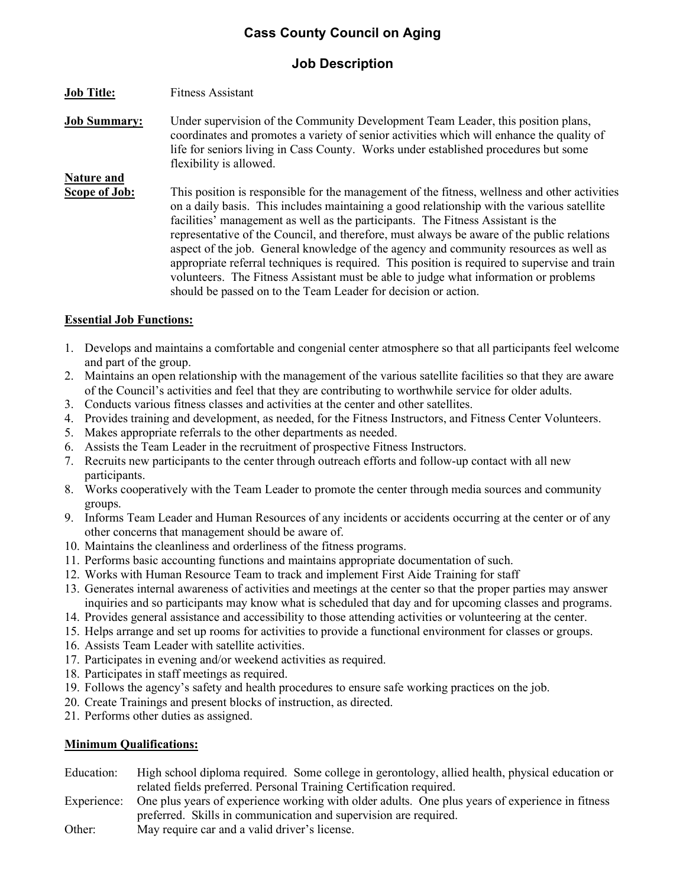# Cass County Council on Aging

## Job Description

- Job Title: Fitness Assistant
- Job Summary: Under supervision of the Community Development Team Leader, this position plans, coordinates and promotes a variety of senior activities which will enhance the quality of life for seniors living in Cass County. Works under established procedures but some flexibility is allowed.
- Nature and Scope of Job: This position is responsible for the management of the fitness, wellness and other activities on a daily basis. This includes maintaining a good relationship with the various satellite facilities' management as well as the participants. The Fitness Assistant is the representative of the Council, and therefore, must always be aware of the public relations aspect of the job. General knowledge of the agency and community resources as well as appropriate referral techniques is required. This position is required to supervise and train volunteers. The Fitness Assistant must be able to judge what information or problems should be passed on to the Team Leader for decision or action.

#### Essential Job Functions:

- 1. Develops and maintains a comfortable and congenial center atmosphere so that all participants feel welcome and part of the group.
- 2. Maintains an open relationship with the management of the various satellite facilities so that they are aware of the Council's activities and feel that they are contributing to worthwhile service for older adults.
- 3. Conducts various fitness classes and activities at the center and other satellites.
- 4. Provides training and development, as needed, for the Fitness Instructors, and Fitness Center Volunteers.
- 5. Makes appropriate referrals to the other departments as needed.
- 6. Assists the Team Leader in the recruitment of prospective Fitness Instructors.
- 7. Recruits new participants to the center through outreach efforts and follow-up contact with all new participants.
- 8. Works cooperatively with the Team Leader to promote the center through media sources and community groups.
- 9. Informs Team Leader and Human Resources of any incidents or accidents occurring at the center or of any other concerns that management should be aware of.
- 10. Maintains the cleanliness and orderliness of the fitness programs.
- 11. Performs basic accounting functions and maintains appropriate documentation of such.
- 12. Works with Human Resource Team to track and implement First Aide Training for staff
- 13. Generates internal awareness of activities and meetings at the center so that the proper parties may answer inquiries and so participants may know what is scheduled that day and for upcoming classes and programs.
- 14. Provides general assistance and accessibility to those attending activities or volunteering at the center.
- 15. Helps arrange and set up rooms for activities to provide a functional environment for classes or groups.
- 16. Assists Team Leader with satellite activities.
- 17. Participates in evening and/or weekend activities as required.
- 18. Participates in staff meetings as required.
- 19. Follows the agency's safety and health procedures to ensure safe working practices on the job.
- 20. Create Trainings and present blocks of instruction, as directed.
- 21. Performs other duties as assigned.

#### Minimum Qualifications:

- Education: High school diploma required. Some college in gerontology, allied health, physical education or related fields preferred. Personal Training Certification required.
- Experience: One plus years of experience working with older adults. One plus years of experience in fitness preferred. Skills in communication and supervision are required.
- Other: May require car and a valid driver's license.